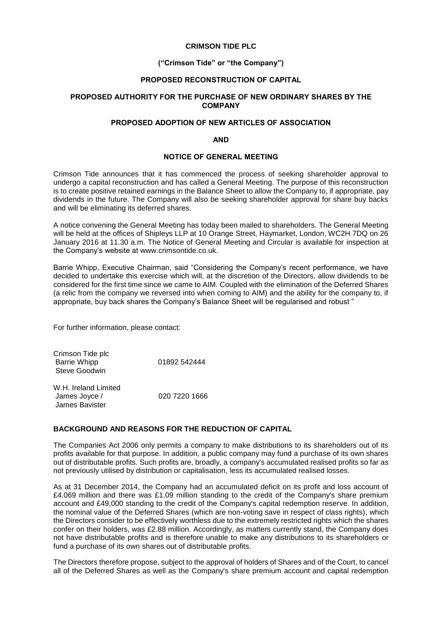## **CRIMSON TIDE PLC**

# **("Crimson Tide" or "the Company")**

## **PROPOSED RECONSTRUCTION OF CAPITAL**

## **PROPOSED AUTHORITY FOR THE PURCHASE OF NEW ORDINARY SHARES BY THE COMPANY**

# **PROPOSED ADOPTION OF NEW ARTICLES OF ASSOCIATION**

#### **AND**

## **NOTICE OF GENERAL MEETING**

Crimson Tide announces that it has commenced the process of seeking shareholder approval to undergo a capital reconstruction and has called a General Meeting. The purpose of this reconstruction is to create positive retained earnings in the Balance Sheet to allow the Company to, if appropriate, pay dividends in the future. The Company will also be seeking shareholder approval for share buy backs and will be eliminating its deferred shares.

A notice convening the General Meeting has today been mailed to shareholders. The General Meeting will be held at the offices of Shipleys LLP at 10 Orange Street, Haymarket, London, WC2H 7DQ on 26 January 2016 at 11.30 a.m. The Notice of General Meeting and Circular is available for inspection at the Company's website at [www.crimsontide.co.uk.](http://www.crimsontide.co.uk/)

Barrie Whipp, Executive Chairman, said "Considering the Company's recent performance, we have decided to undertake this exercise which will, at the discretion of the Directors, allow dividends to be considered for the first time since we came to AIM. Coupled with the elimination of the Deferred Shares (a relic from the company we reversed into when coming to AIM) and the ability for the company to, if appropriate, buy back shares the Company's Balance Sheet will be regularised and robust "

For further information, please contact:

Crimson Tide plc Barrie Whipp 01892 542444 Steve Goodwin

W.H. Ireland Limited James Joyce / 020 7220 1666 James Bavister

## **BACKGROUND AND REASONS FOR THE REDUCTION OF CAPITAL**

The Companies Act 2006 only permits a company to make distributions to its shareholders out of its profits available for that purpose. In addition, a public company may fund a purchase of its own shares out of distributable profits. Such profits are, broadly, a company's accumulated realised profits so far as not previously utilised by distribution or capitalisation, less its accumulated realised losses.

As at 31 December 2014, the Company had an accumulated deficit on its profit and loss account of £4.069 million and there was £1.09 million standing to the credit of the Company's share premium account and £49,000 standing to the credit of the Company's capital redemption reserve. In addition, the nominal value of the Deferred Shares (which are non-voting save in respect of class rights), which the Directors consider to be effectively worthless due to the extremely restricted rights which the shares confer on their holders, was £2.88 million. Accordingly, as matters currently stand, the Company does not have distributable profits and is therefore unable to make any distributions to its shareholders or fund a purchase of its own shares out of distributable profits.

The Directors therefore propose, subject to the approval of holders of Shares and of the Court, to cancel all of the Deferred Shares as well as the Company's share premium account and capital redemption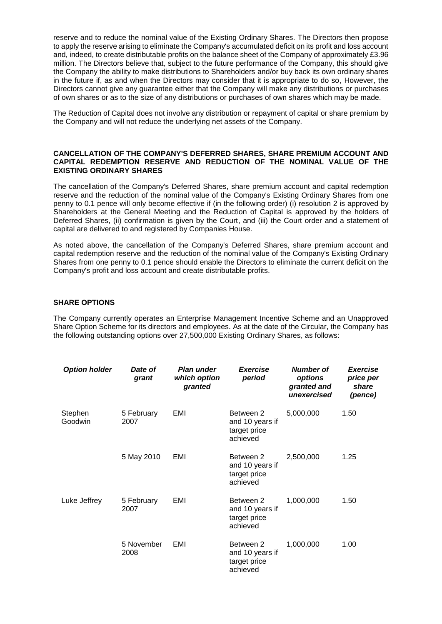reserve and to reduce the nominal value of the Existing Ordinary Shares. The Directors then propose to apply the reserve arising to eliminate the Company's accumulated deficit on its profit and loss account and, indeed, to create distributable profits on the balance sheet of the Company of approximately £3.96 million. The Directors believe that, subject to the future performance of the Company, this should give the Company the ability to make distributions to Shareholders and/or buy back its own ordinary shares in the future if, as and when the Directors may consider that it is appropriate to do so, However, the Directors cannot give any guarantee either that the Company will make any distributions or purchases of own shares or as to the size of any distributions or purchases of own shares which may be made.

The Reduction of Capital does not involve any distribution or repayment of capital or share premium by the Company and will not reduce the underlying net assets of the Company.

## **CANCELLATION OF THE COMPANY'S DEFERRED SHARES, SHARE PREMIUM ACCOUNT AND CAPITAL REDEMPTION RESERVE AND REDUCTION OF THE NOMINAL VALUE OF THE EXISTING ORDINARY SHARES**

The cancellation of the Company's Deferred Shares, share premium account and capital redemption reserve and the reduction of the nominal value of the Company's Existing Ordinary Shares from one penny to 0.1 pence will only become effective if (in the following order) (i) resolution 2 is approved by Shareholders at the General Meeting and the Reduction of Capital is approved by the holders of Deferred Shares, (ii) confirmation is given by the Court, and (iii) the Court order and a statement of capital are delivered to and registered by Companies House.

As noted above, the cancellation of the Company's Deferred Shares, share premium account and capital redemption reserve and the reduction of the nominal value of the Company's Existing Ordinary Shares from one penny to 0.1 pence should enable the Directors to eliminate the current deficit on the Company's profit and loss account and create distributable profits.

## **SHARE OPTIONS**

The Company currently operates an Enterprise Management Incentive Scheme and an Unapproved Share Option Scheme for its directors and employees. As at the date of the Circular, the Company has the following outstanding options over 27,500,000 Existing Ordinary Shares, as follows:

| <b>Option holder</b> | Date of<br>grant   | <b>Plan under</b><br>which option<br>granted | <b>Exercise</b><br>period                                | Number of<br>options<br>granted and<br>unexercised | <b>Exercise</b><br>price per<br>share<br>(pence) |
|----------------------|--------------------|----------------------------------------------|----------------------------------------------------------|----------------------------------------------------|--------------------------------------------------|
| Stephen<br>Goodwin   | 5 February<br>2007 | EMI                                          | Between 2<br>and 10 years if<br>target price<br>achieved | 5,000,000                                          | 1.50                                             |
|                      | 5 May 2010         | EMI                                          | Between 2<br>and 10 years if<br>target price<br>achieved | 2,500,000                                          | 1.25                                             |
| Luke Jeffrey         | 5 February<br>2007 | EMI                                          | Between 2<br>and 10 years if<br>target price<br>achieved | 1,000,000                                          | 1.50                                             |
|                      | 5 November<br>2008 | EMI                                          | Between 2<br>and 10 years if<br>target price<br>achieved | 1,000,000                                          | 1.00                                             |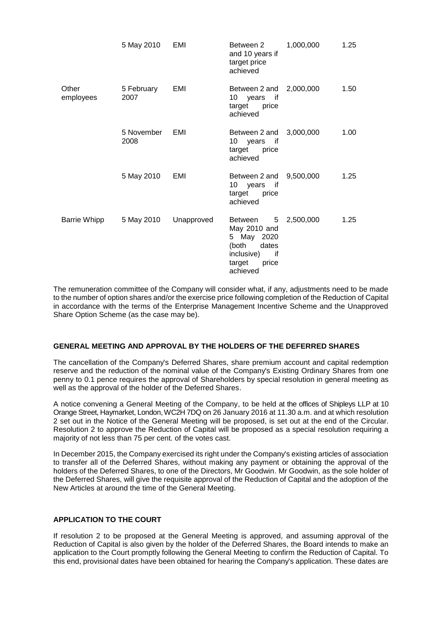|                     | 5 May 2010         | EMI        | Between 2<br>and 10 years if<br>target price<br>achieved                                                        | 1,000,000 | 1.25 |
|---------------------|--------------------|------------|-----------------------------------------------------------------------------------------------------------------|-----------|------|
| Other<br>employees  | 5 February<br>2007 | EMI        | Between 2 and<br>10 years if<br>target<br>price<br>achieved                                                     | 2,000,000 | 1.50 |
|                     | 5 November<br>2008 | EMI        | Between 2 and<br>10 years if<br>target price<br>achieved                                                        | 3,000,000 | 1.00 |
|                     | 5 May 2010         | EMI        | Between 2 and<br>10 years<br>if<br>target price<br>achieved                                                     | 9,500,000 | 1.25 |
| <b>Barrie Whipp</b> | 5 May 2010         | Unapproved | Between<br>5<br>May 2010 and<br>5 May 2020<br>(both<br>dates<br>inclusive)<br>if<br>target<br>price<br>achieved | 2,500,000 | 1.25 |

The remuneration committee of the Company will consider what, if any, adjustments need to be made to the number of option shares and/or the exercise price following completion of the Reduction of Capital in accordance with the terms of the Enterprise Management Incentive Scheme and the Unapproved Share Option Scheme (as the case may be).

## **GENERAL MEETING AND APPROVAL BY THE HOLDERS OF THE DEFERRED SHARES**

The cancellation of the Company's Deferred Shares, share premium account and capital redemption reserve and the reduction of the nominal value of the Company's Existing Ordinary Shares from one penny to 0.1 pence requires the approval of Shareholders by special resolution in general meeting as well as the approval of the holder of the Deferred Shares.

A notice convening a General Meeting of the Company, to be held at the offices of Shipleys LLP at 10 Orange Street, Haymarket, London, WC2H 7DQ on 26 January 2016 at 11.30 a.m. and at which resolution 2 set out in the Notice of the General Meeting will be proposed, is set out at the end of the Circular. Resolution 2 to approve the Reduction of Capital will be proposed as a special resolution requiring a majority of not less than 75 per cent. of the votes cast.

In December 2015, the Company exercised its right under the Company's existing articles of association to transfer all of the Deferred Shares, without making any payment or obtaining the approval of the holders of the Deferred Shares, to one of the Directors, Mr Goodwin. Mr Goodwin, as the sole holder of the Deferred Shares, will give the requisite approval of the Reduction of Capital and the adoption of the New Articles at around the time of the General Meeting.

## **APPLICATION TO THE COURT**

If resolution 2 to be proposed at the General Meeting is approved, and assuming approval of the Reduction of Capital is also given by the holder of the Deferred Shares, the Board intends to make an application to the Court promptly following the General Meeting to confirm the Reduction of Capital. To this end, provisional dates have been obtained for hearing the Company's application. These dates are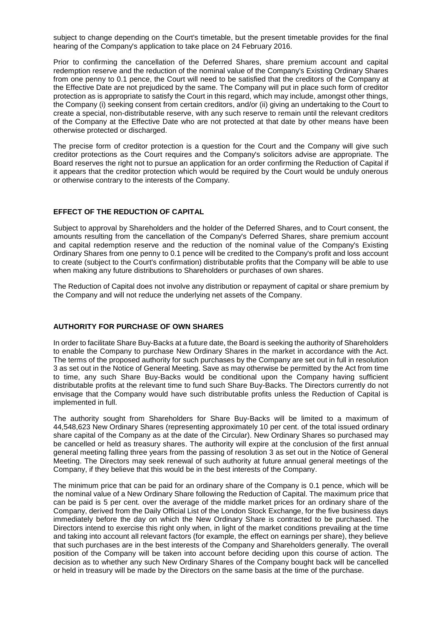subject to change depending on the Court's timetable, but the present timetable provides for the final hearing of the Company's application to take place on 24 February 2016.

Prior to confirming the cancellation of the Deferred Shares, share premium account and capital redemption reserve and the reduction of the nominal value of the Company's Existing Ordinary Shares from one penny to 0.1 pence, the Court will need to be satisfied that the creditors of the Company at the Effective Date are not prejudiced by the same. The Company will put in place such form of creditor protection as is appropriate to satisfy the Court in this regard, which may include, amongst other things, the Company (i) seeking consent from certain creditors, and/or (ii) giving an undertaking to the Court to create a special, non-distributable reserve, with any such reserve to remain until the relevant creditors of the Company at the Effective Date who are not protected at that date by other means have been otherwise protected or discharged.

The precise form of creditor protection is a question for the Court and the Company will give such creditor protections as the Court requires and the Company's solicitors advise are appropriate. The Board reserves the right not to pursue an application for an order confirming the Reduction of Capital if it appears that the creditor protection which would be required by the Court would be unduly onerous or otherwise contrary to the interests of the Company.

## **EFFECT OF THE REDUCTION OF CAPITAL**

Subject to approval by Shareholders and the holder of the Deferred Shares, and to Court consent, the amounts resulting from the cancellation of the Company's Deferred Shares, share premium account and capital redemption reserve and the reduction of the nominal value of the Company's Existing Ordinary Shares from one penny to 0.1 pence will be credited to the Company's profit and loss account to create (subject to the Court's confirmation) distributable profits that the Company will be able to use when making any future distributions to Shareholders or purchases of own shares.

The Reduction of Capital does not involve any distribution or repayment of capital or share premium by the Company and will not reduce the underlying net assets of the Company.

# **AUTHORITY FOR PURCHASE OF OWN SHARES**

In order to facilitate Share Buy-Backs at a future date, the Board is seeking the authority of Shareholders to enable the Company to purchase New Ordinary Shares in the market in accordance with the Act. The terms of the proposed authority for such purchases by the Company are set out in full in resolution 3 as set out in the Notice of General Meeting. Save as may otherwise be permitted by the Act from time to time, any such Share Buy-Backs would be conditional upon the Company having sufficient distributable profits at the relevant time to fund such Share Buy-Backs. The Directors currently do not envisage that the Company would have such distributable profits unless the Reduction of Capital is implemented in full.

The authority sought from Shareholders for Share Buy-Backs will be limited to a maximum of 44,548,623 New Ordinary Shares (representing approximately 10 per cent. of the total issued ordinary share capital of the Company as at the date of the Circular). New Ordinary Shares so purchased may be cancelled or held as treasury shares. The authority will expire at the conclusion of the first annual general meeting falling three years from the passing of resolution 3 as set out in the Notice of General Meeting. The Directors may seek renewal of such authority at future annual general meetings of the Company, if they believe that this would be in the best interests of the Company.

The minimum price that can be paid for an ordinary share of the Company is 0.1 pence, which will be the nominal value of a New Ordinary Share following the Reduction of Capital. The maximum price that can be paid is 5 per cent. over the average of the middle market prices for an ordinary share of the Company, derived from the Daily Official List of the London Stock Exchange, for the five business days immediately before the day on which the New Ordinary Share is contracted to be purchased. The Directors intend to exercise this right only when, in light of the market conditions prevailing at the time and taking into account all relevant factors (for example, the effect on earnings per share), they believe that such purchases are in the best interests of the Company and Shareholders generally. The overall position of the Company will be taken into account before deciding upon this course of action. The decision as to whether any such New Ordinary Shares of the Company bought back will be cancelled or held in treasury will be made by the Directors on the same basis at the time of the purchase.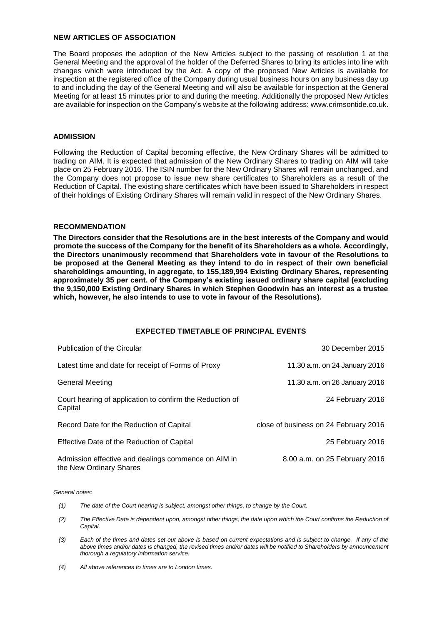# **NEW ARTICLES OF ASSOCIATION**

The Board proposes the adoption of the New Articles subject to the passing of resolution 1 at the General Meeting and the approval of the holder of the Deferred Shares to bring its articles into line with changes which were introduced by the Act. A copy of the proposed New Articles is available for inspection at the registered office of the Company during usual business hours on any business day up to and including the day of the General Meeting and will also be available for inspection at the General Meeting for at least 15 minutes prior to and during the meeting. Additionally the proposed New Articles are available for inspection on the Company's website at the following address: www.crimsontide.co.uk.

## **ADMISSION**

Following the Reduction of Capital becoming effective, the New Ordinary Shares will be admitted to trading on AIM. It is expected that admission of the New Ordinary Shares to trading on AIM will take place on 25 February 2016. The ISIN number for the New Ordinary Shares will remain unchanged, and the Company does not propose to issue new share certificates to Shareholders as a result of the Reduction of Capital. The existing share certificates which have been issued to Shareholders in respect of their holdings of Existing Ordinary Shares will remain valid in respect of the New Ordinary Shares.

## **RECOMMENDATION**

**The Directors consider that the Resolutions are in the best interests of the Company and would promote the success of the Company for the benefit of its Shareholders as a whole. Accordingly, the Directors unanimously recommend that Shareholders vote in favour of the Resolutions to be proposed at the General Meeting as they intend to do in respect of their own beneficial shareholdings amounting, in aggregate, to 155,189,994 Existing Ordinary Shares, representing approximately 35 per cent. of the Company's existing issued ordinary share capital (excluding the 9,150,000 Existing Ordinary Shares in which Stephen Goodwin has an interest as a trustee which, however, he also intends to use to vote in favour of the Resolutions).**

## **EXPECTED TIMETABLE OF PRINCIPAL EVENTS**

| Publication of the Circular                                                    | 30 December 2015                      |
|--------------------------------------------------------------------------------|---------------------------------------|
| Latest time and date for receipt of Forms of Proxy                             | 11.30 a.m. on 24 January 2016         |
| General Meeting                                                                | 11.30 a.m. on 26 January 2016         |
| Court hearing of application to confirm the Reduction of<br>Capital            | 24 February 2016                      |
| Record Date for the Reduction of Capital                                       | close of business on 24 February 2016 |
| Effective Date of the Reduction of Capital                                     | 25 February 2016                      |
| Admission effective and dealings commence on AIM in<br>the New Ordinary Shares | 8.00 a.m. on 25 February 2016         |

*General notes:*

- *(1) The date of the Court hearing is subject, amongst other things, to change by the Court.*
- *(2) The Effective Date is dependent upon, amongst other things, the date upon which the Court confirms the Reduction of Capital.*
- *(3) Each of the times and dates set out above is based on current expectations and is subject to change. If any of the above times and/or dates is changed, the revised times and/or dates will be notified to Shareholders by announcement thorough a regulatory information service.*
- *(4) All above references to times are to London times.*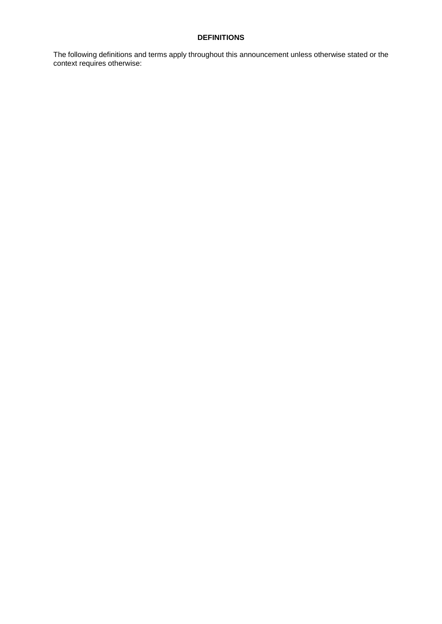# **DEFINITIONS**

The following definitions and terms apply throughout this announcement unless otherwise stated or the context requires otherwise: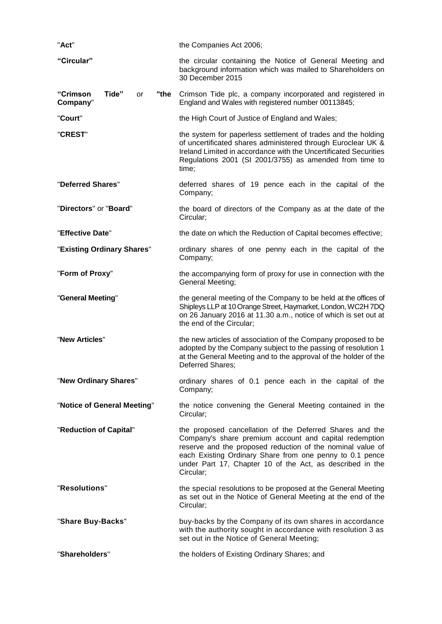| "Act"                                       | the Companies Act 2006;                                                                                                                                                                                                                                                                                                |  |
|---------------------------------------------|------------------------------------------------------------------------------------------------------------------------------------------------------------------------------------------------------------------------------------------------------------------------------------------------------------------------|--|
| "Circular"                                  | the circular containing the Notice of General Meeting and<br>background information which was mailed to Shareholders on<br>30 December 2015                                                                                                                                                                            |  |
| "Crimson<br>Tide"<br>"the<br>or<br>Company" | Crimson Tide plc, a company incorporated and registered in<br>England and Wales with registered number 00113845;                                                                                                                                                                                                       |  |
| "Court"                                     | the High Court of Justice of England and Wales;                                                                                                                                                                                                                                                                        |  |
| "CREST"                                     | the system for paperless settlement of trades and the holding<br>of uncertificated shares administered through Euroclear UK &<br>Ireland Limited in accordance with the Uncertificated Securities<br>Regulations 2001 (SI 2001/3755) as amended from time to<br>time;                                                  |  |
| "Deferred Shares"                           | deferred shares of 19 pence each in the capital of the<br>Company;                                                                                                                                                                                                                                                     |  |
| "Directors" or "Board"                      | the board of directors of the Company as at the date of the<br>Circular;                                                                                                                                                                                                                                               |  |
| "Effective Date"                            | the date on which the Reduction of Capital becomes effective;                                                                                                                                                                                                                                                          |  |
| "Existing Ordinary Shares"                  | ordinary shares of one penny each in the capital of the<br>Company;                                                                                                                                                                                                                                                    |  |
| "Form of Proxy"                             | the accompanying form of proxy for use in connection with the<br>General Meeting;                                                                                                                                                                                                                                      |  |
| "General Meeting"                           | the general meeting of the Company to be held at the offices of<br>Shipleys LLP at 10 Orange Street, Haymarket, London, WC2H 7DQ<br>on 26 January 2016 at 11.30 a.m., notice of which is set out at<br>the end of the Circular;                                                                                        |  |
| "New Articles"                              | the new articles of association of the Company proposed to be<br>adopted by the Company subject to the passing of resolution 1<br>at the General Meeting and to the approval of the holder of the<br>Deferred Shares;                                                                                                  |  |
| "New Ordinary Shares"                       | ordinary shares of 0.1 pence each in the capital of the<br>Company;                                                                                                                                                                                                                                                    |  |
| "Notice of General Meeting"                 | the notice convening the General Meeting contained in the<br>Circular;                                                                                                                                                                                                                                                 |  |
| "Reduction of Capital"                      | the proposed cancellation of the Deferred Shares and the<br>Company's share premium account and capital redemption<br>reserve and the proposed reduction of the nominal value of<br>each Existing Ordinary Share from one penny to 0.1 pence<br>under Part 17, Chapter 10 of the Act, as described in the<br>Circular; |  |
| "Resolutions"                               | the special resolutions to be proposed at the General Meeting<br>as set out in the Notice of General Meeting at the end of the<br>Circular;                                                                                                                                                                            |  |
| "Share Buy-Backs"                           | buy-backs by the Company of its own shares in accordance<br>with the authority sought in accordance with resolution 3 as<br>set out in the Notice of General Meeting;                                                                                                                                                  |  |
| "Shareholders"                              | the holders of Existing Ordinary Shares; and                                                                                                                                                                                                                                                                           |  |